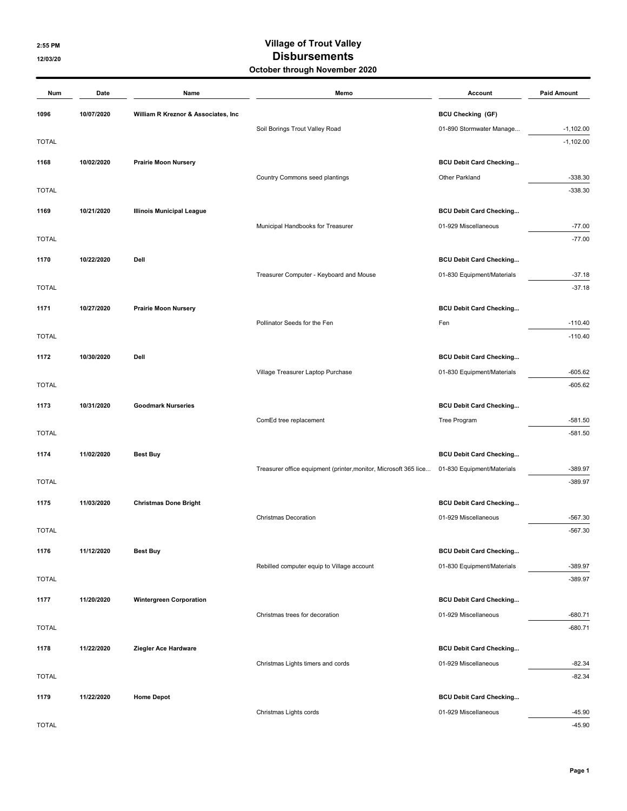## 2:55 PM Village of Trout Valley 12/03/20 12/03/20 October through November 2020

| Num          | Date       | Name                                 | Memo                                                             | Account                        | <b>Paid Amount</b> |
|--------------|------------|--------------------------------------|------------------------------------------------------------------|--------------------------------|--------------------|
| 1096         | 10/07/2020 | William R Kreznor & Associates, Inc. |                                                                  | <b>BCU Checking (GF)</b>       |                    |
|              |            |                                      | Soil Borings Trout Valley Road                                   | 01-890 Stormwater Manage       | $-1,102.00$        |
| <b>TOTAL</b> |            |                                      |                                                                  |                                | $-1,102.00$        |
| 1168         | 10/02/2020 | <b>Prairie Moon Nursery</b>          |                                                                  | <b>BCU Debit Card Checking</b> |                    |
|              |            |                                      | Country Commons seed plantings                                   | Other Parkland                 | $-338.30$          |
| <b>TOTAL</b> |            |                                      |                                                                  |                                | $-338.30$          |
| 1169         | 10/21/2020 | <b>Illinois Municipal League</b>     |                                                                  | <b>BCU Debit Card Checking</b> |                    |
|              |            |                                      | Municipal Handbooks for Treasurer                                | 01-929 Miscellaneous           | $-77.00$           |
| <b>TOTAL</b> |            |                                      |                                                                  |                                | $-77.00$           |
| 1170         | 10/22/2020 | Dell                                 |                                                                  | <b>BCU Debit Card Checking</b> |                    |
|              |            |                                      | Treasurer Computer - Keyboard and Mouse                          | 01-830 Equipment/Materials     | $-37.18$           |
| <b>TOTAL</b> |            |                                      |                                                                  |                                | $-37.18$           |
| 1171         | 10/27/2020 | <b>Prairie Moon Nursery</b>          |                                                                  | <b>BCU Debit Card Checking</b> |                    |
|              |            |                                      | Pollinator Seeds for the Fen                                     | Fen                            | $-110.40$          |
| <b>TOTAL</b> |            |                                      |                                                                  |                                | $-110.40$          |
| 1172         | 10/30/2020 | Dell                                 |                                                                  | <b>BCU Debit Card Checking</b> |                    |
|              |            |                                      | Village Treasurer Laptop Purchase                                | 01-830 Equipment/Materials     | $-605.62$          |
| <b>TOTAL</b> |            |                                      |                                                                  |                                | $-605.62$          |
| 1173         | 10/31/2020 | <b>Goodmark Nurseries</b>            |                                                                  | <b>BCU Debit Card Checking</b> |                    |
|              |            |                                      | ComEd tree replacement                                           | Tree Program                   | $-581.50$          |
| <b>TOTAL</b> |            |                                      |                                                                  |                                | $-581.50$          |
| 1174         | 11/02/2020 | <b>Best Buy</b>                      |                                                                  | <b>BCU Debit Card Checking</b> |                    |
|              |            |                                      | Treasurer office equipment (printer, monitor, Microsoft 365 lice | 01-830 Equipment/Materials     | $-389.97$          |
| <b>TOTAL</b> |            |                                      |                                                                  |                                | $-389.97$          |
| 1175         | 11/03/2020 | <b>Christmas Done Bright</b>         |                                                                  | <b>BCU Debit Card Checking</b> |                    |
|              |            |                                      | <b>Christmas Decoration</b>                                      | 01-929 Miscellaneous           | $-567.30$          |
| <b>TOTAL</b> |            |                                      |                                                                  |                                | $-567.30$          |
| 1176         | 11/12/2020 | <b>Best Buy</b>                      |                                                                  | <b>BCU Debit Card Checking</b> |                    |
|              |            |                                      | Rebilled computer equip to Village account                       | 01-830 Equipment/Materials     | $-389.97$          |
| <b>TOTAL</b> |            |                                      |                                                                  |                                | $-389.97$          |
| 1177         | 11/20/2020 | <b>Wintergreen Corporation</b>       |                                                                  | <b>BCU Debit Card Checking</b> |                    |
|              |            |                                      | Christmas trees for decoration                                   | 01-929 Miscellaneous           | $-680.71$          |
| <b>TOTAL</b> |            |                                      |                                                                  |                                | $-680.71$          |
| 1178         | 11/22/2020 | Ziegler Ace Hardware                 |                                                                  | <b>BCU Debit Card Checking</b> |                    |
|              |            |                                      | Christmas Lights timers and cords                                | 01-929 Miscellaneous           | $-82.34$           |
| <b>TOTAL</b> |            |                                      |                                                                  |                                | $-82.34$           |
| 1179         | 11/22/2020 | <b>Home Depot</b>                    |                                                                  | <b>BCU Debit Card Checking</b> |                    |
|              |            |                                      | Christmas Lights cords                                           | 01-929 Miscellaneous           | $-45.90$           |
| <b>TOTAL</b> |            |                                      |                                                                  |                                | $-45.90$           |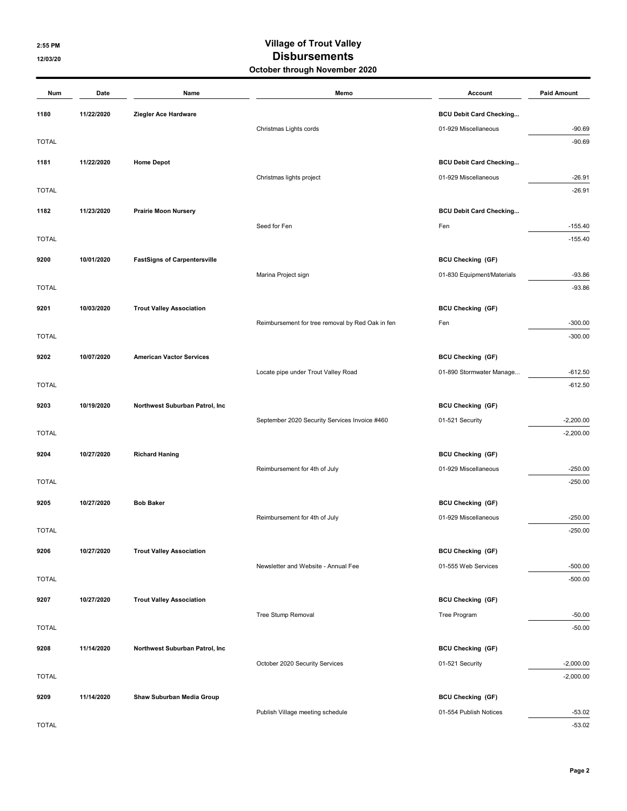## 2:55 PM Village of Trout Valley 12/03/20 **Disbursements** October through November 2020

| Num          | Date       | Name                                | Memo                                             | Account                        | <b>Paid Amount</b>     |
|--------------|------------|-------------------------------------|--------------------------------------------------|--------------------------------|------------------------|
| 1180         | 11/22/2020 | Ziegler Ace Hardware                |                                                  | <b>BCU Debit Card Checking</b> |                        |
|              |            |                                     | Christmas Lights cords                           | 01-929 Miscellaneous           | $-90.69$               |
| <b>TOTAL</b> |            |                                     |                                                  |                                | $-90.69$               |
| 1181         | 11/22/2020 | <b>Home Depot</b>                   |                                                  | <b>BCU Debit Card Checking</b> |                        |
|              |            |                                     | Christmas lights project                         | 01-929 Miscellaneous           | $-26.91$               |
| <b>TOTAL</b> |            |                                     |                                                  |                                | $-26.91$               |
| 1182         | 11/23/2020 | <b>Prairie Moon Nursery</b>         |                                                  | <b>BCU Debit Card Checking</b> |                        |
|              |            |                                     | Seed for Fen                                     | Fen                            | $-155.40$              |
| <b>TOTAL</b> |            |                                     |                                                  |                                | $-155.40$              |
| 9200         | 10/01/2020 | <b>FastSigns of Carpentersville</b> |                                                  | <b>BCU Checking (GF)</b>       |                        |
|              |            |                                     | Marina Project sign                              | 01-830 Equipment/Materials     | $-93.86$               |
| <b>TOTAL</b> |            |                                     |                                                  |                                | $-93.86$               |
| 9201         | 10/03/2020 | <b>Trout Valley Association</b>     |                                                  | <b>BCU Checking (GF)</b>       |                        |
|              |            |                                     | Reimbursement for tree removal by Red Oak in fen | Fen                            | $-300.00$              |
| <b>TOTAL</b> |            |                                     |                                                  |                                | $-300.00$              |
|              |            |                                     |                                                  |                                |                        |
| 9202         | 10/07/2020 | <b>American Vactor Services</b>     |                                                  | <b>BCU Checking (GF)</b>       |                        |
| <b>TOTAL</b> |            |                                     | Locate pipe under Trout Valley Road              | 01-890 Stormwater Manage       | $-612.50$<br>$-612.50$ |
|              |            |                                     |                                                  |                                |                        |
| 9203         | 10/19/2020 | Northwest Suburban Patrol, Inc      |                                                  | <b>BCU Checking (GF)</b>       |                        |
|              |            |                                     | September 2020 Security Services Invoice #460    | 01-521 Security                | $-2,200.00$            |
| <b>TOTAL</b> |            |                                     |                                                  |                                | $-2,200.00$            |
| 9204         | 10/27/2020 | <b>Richard Haning</b>               |                                                  | <b>BCU Checking (GF)</b>       |                        |
|              |            |                                     | Reimbursement for 4th of July                    | 01-929 Miscellaneous           | $-250.00$              |
| <b>TOTAL</b> |            |                                     |                                                  |                                | $-250.00$              |
| 9205         | 10/27/2020 | <b>Bob Baker</b>                    |                                                  | <b>BCU Checking (GF)</b>       |                        |
|              |            |                                     | Reimbursement for 4th of July                    | 01-929 Miscellaneous           | $-250.00$              |
| <b>TOTAL</b> |            |                                     |                                                  |                                | $-250.00$              |
| 9206         | 10/27/2020 | <b>Trout Valley Association</b>     |                                                  | <b>BCU Checking (GF)</b>       |                        |
|              |            |                                     | Newsletter and Website - Annual Fee              | 01-555 Web Services            | $-500.00$              |
| <b>TOTAL</b> |            |                                     |                                                  |                                | $-500.00$              |
| 9207         | 10/27/2020 | <b>Trout Valley Association</b>     |                                                  | <b>BCU Checking (GF)</b>       |                        |
|              |            |                                     | Tree Stump Removal                               | Tree Program                   | $-50.00$               |
| <b>TOTAL</b> |            |                                     |                                                  |                                | $-50.00$               |
| 9208         | 11/14/2020 | Northwest Suburban Patrol, Inc      |                                                  | <b>BCU Checking (GF)</b>       |                        |
|              |            |                                     | October 2020 Security Services                   | 01-521 Security                | $-2,000.00$            |
| <b>TOTAL</b> |            |                                     |                                                  |                                | $-2,000.00$            |
| 9209         | 11/14/2020 | Shaw Suburban Media Group           |                                                  | <b>BCU Checking (GF)</b>       |                        |
|              |            |                                     | Publish Village meeting schedule                 | 01-554 Publish Notices         | $-53.02$               |
| <b>TOTAL</b> |            |                                     |                                                  |                                | $-53.02$               |